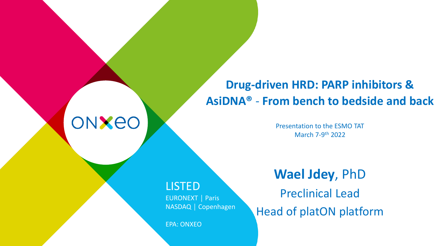# **Drug-driven HRD: PARP inhibitors & AsiDNA®** - **From bench to bedside and back**

Presentation to the ESMO TAT March 7-9<sup>th</sup> 2022

### LISTED

ONXEO

EURONEXT │ Paris NASDAQ │ Copenhagen

EPA: ONXEO

# **Wael Jdey**, PhD

Preclinical Lead Head of platON platform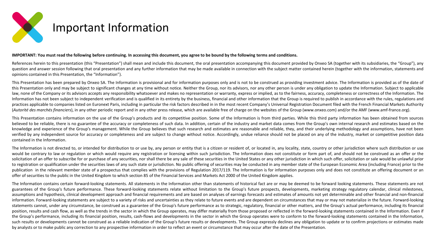

#### IMPORTANT: You must read the following before continuing. In accessing this document, you agree to be bound by the following terms and conditions.

References herein to this presentation (this "Presentation") shall mean and include this document, the oral presentation accompanying this document provided by Onxeo SA (together with its subsidiaries, the "Group"), any question and answer session following that oral presentation and any further information that may be made available in connection with the subject matter contained herein (together with the information, statements and opinions contained in this Presentation, the "Information").

This Presentation has been prepared by Onxeo SA. The Information is provisional and for information purposes only and is not to be construed as providing investment advice. The Information is provided as of the date of this Presentation only and may be subject to significant changes at any time without notice. Neither the Group, nor its advisors, nor any other person is under any obligation to update the Information. Subject to applicable law, none of the Company or its advisors accepts any responsibility whatsoever and makes no representation or warranty, express or implied, as to the fairness, accuracy, completeness or correctness of the Information. The Information has not been subject to independent verification and is qualified in its entirety by the business, financial and other information that the Group is required to publish in accordance with the rules, regulations practices applicable to companies listed on Euronext Paris, including in particular the risk factors described in in the most recent Company's Universal Registration Document filed with the French Financial Markets Authori (Autorité des marchés financiers), in any other periodic report and in any other press release, which are available free of charge on the websites of the Group (www.onxeo.com) and/or the AMF (www.amf-france.org).

This Presentation contains information on the use of the Group's products and its competitive position. Some of the Information is from third parties. While this third party information has been obtained from sources believed to be reliable, there is no guarantee of the accuracy or completeness of such data. In addition, certain of the industry and market data comes from the Group's own internal research and estimates based on the knowledge and experience of the Group's management. While the Group believes that such research and estimates are reasonable and reliable, they, and their underlying methodology and assumptions, have not been verified by any independent source for accuracy or completeness and are subject to change without notice. Accordingly, undue reliance should not be placed on any of the industry, market or competitive position data contained in the Information.

The Information is not directed to, or intended for distribution to or use by, any person or entity that is a citizen or resident of, or located in, any locality, state, country or other jurisdiction where such distributio would be contrary to law or regulation or which would require any registration or licensing within such jurisdiction. The Information does not constitute or form part of, and should not be construed as an offer or the solicitation of an offer to subscribe for or purchase of any securities, nor shall there be any sale of these securities in the United States or any other jurisdiction in which such offer, solicitation or sale would be unl to registration or qualification under the securities laws of any such state or jurisdiction. No public offering of securities may be conducted in any member state of the European Economic Area (including France) prior to publication in the relevant member state of a prospectus that complies with the provisions of Regulation 2017/119. The Information is for information purposes only and does not constitute an offering document or an offer of securities to the public in the United Kingdom to which section 85 of the Financial Services and Markets Act 2000 of the United Kingdom applies.

The Information contains certain forward-looking statements. All statements in the Information other than statements of historical fact are or may be deemed to be forward looking statements. These statements are not guarantees of the Group's future performance. These forward-looking statements relate without limitation to the Group's future prospects, developments, marketing strategy regulatory calendar, clinical milestones, assumptions and hypothesis, clinical development approach and financial requirements and are based on analyses of earnings forecasts and estimates of amounts not yet determinable and other financial and non-financial information. Forward-looking statements are subject to a variety of risks and uncertainties as they relate to future events and are dependent on circumstances that may or may not materialize in the future. Forward-looking statements cannot, under any circumstance, be construed as a guarantee of the Group's future performance as to strategic, regulatory, financial or other matters, and the Group's actual performance, including its financial position, results and cash flow, as well as the trends in the sector in which the Group operates, may differ materially from those proposed or reflected in the forward-looking statements contained in the Information. Even the Group's performance, including its financial position, results, cash-flows and developments in the sector in which the Group operates were to conform to the forward-looking statements contained in the Information, such results or developments cannot be construed as a reliable indication of the Group's future results or developments. The Group expressly declines any obligation to update or to confirm projections or estimates made by analysts or to make public any correction to any prospective information in order to reflect an event or circumstance that may occur after the date of the Presentation.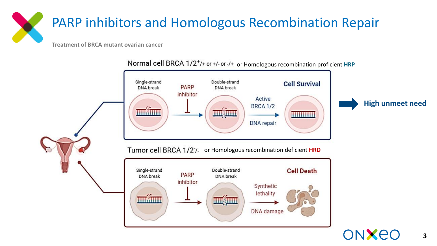# PARP inhibitors and Homologous Recombination Repair

**Treatment of BRCA mutant ovarian cancer**



Normal cell BRCA 1/2<sup>+</sup>/+ or +/- or -/+ or Homologous recombination proficient HRP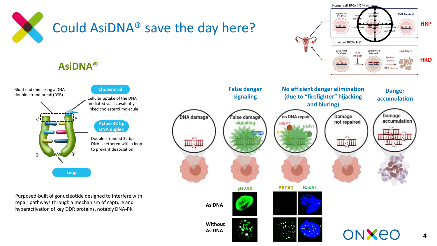

## **AsiDNA®**



Purposed-built oligonucleotide designed to interfere with repair pathways through a mechanism of capture and hyperactivation of key DDR proteins, notably DNA-PK



**HRP**

**Cell Survival** 

**Cell Death** 

Synthetic lethality

Normal cell BRCA 1/2+/+ or +/-0

Single-strand<br>DNA break

mušium

Single-strand<br>DNA break

mmin

Tumor cell BRCA 1/27

PARP

inhibitor

Double-strand

DNA break

**HRD**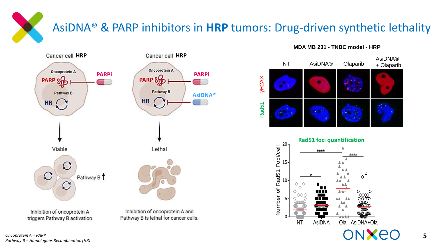# AsiDNA® & PARP inhibitors in **HRP** tumors: Drug-driven synthetic lethality



### **MDA MB 231 - TNBC model - HRP**



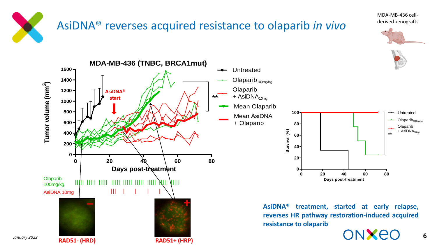

# AsiDNA® reverses acquired resistance to olaparib *in vivo*

MDA-MB-436 cellderived xenografts

![](_page_5_Picture_3.jpeg)

**6**